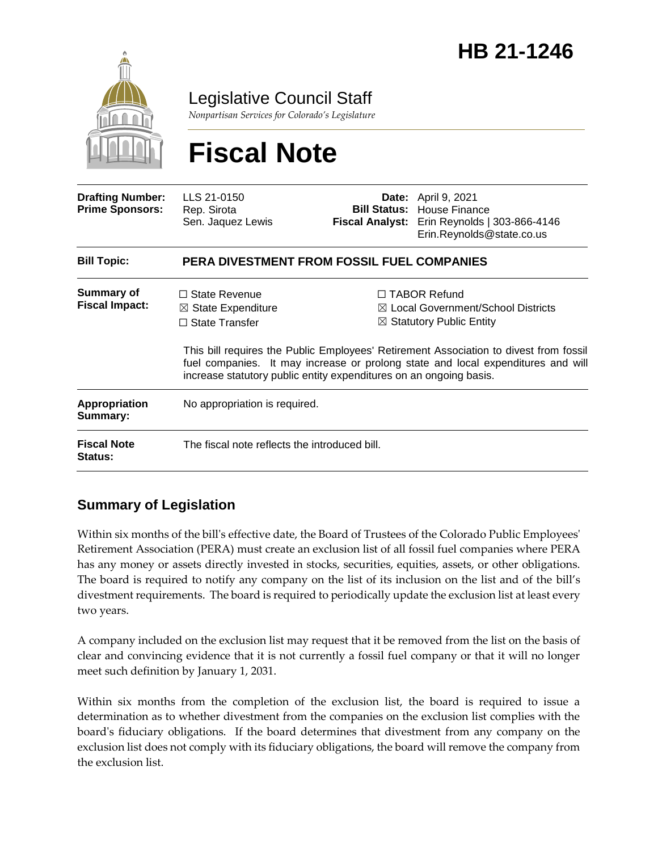

Legislative Council Staff

*Nonpartisan Services for Colorado's Legislature*

# **Fiscal Note**

| <b>Drafting Number:</b><br><b>Prime Sponsors:</b> | LLS 21-0150<br>Rep. Sirota<br>Sen. Jaquez Lewis                                                                                                      |  | <b>Date:</b> April 9, 2021<br><b>Bill Status:</b> House Finance<br><b>Fiscal Analyst:</b> Erin Reynolds   303-866-4146<br>Erin.Reynolds@state.co.us                                                                                                                                      |  |
|---------------------------------------------------|------------------------------------------------------------------------------------------------------------------------------------------------------|--|------------------------------------------------------------------------------------------------------------------------------------------------------------------------------------------------------------------------------------------------------------------------------------------|--|
| <b>Bill Topic:</b>                                | PERA DIVESTMENT FROM FOSSIL FUEL COMPANIES                                                                                                           |  |                                                                                                                                                                                                                                                                                          |  |
| Summary of<br><b>Fiscal Impact:</b>               | $\Box$ State Revenue<br>$\boxtimes$ State Expenditure<br>$\Box$ State Transfer<br>increase statutory public entity expenditures on an ongoing basis. |  | $\Box$ TABOR Refund<br>$\boxtimes$ Local Government/School Districts<br>$\boxtimes$ Statutory Public Entity<br>This bill requires the Public Employees' Retirement Association to divest from fossil<br>fuel companies. It may increase or prolong state and local expenditures and will |  |
| Appropriation<br>Summary:                         | No appropriation is required.                                                                                                                        |  |                                                                                                                                                                                                                                                                                          |  |
| <b>Fiscal Note</b><br><b>Status:</b>              | The fiscal note reflects the introduced bill.                                                                                                        |  |                                                                                                                                                                                                                                                                                          |  |

## **Summary of Legislation**

Within six months of the bill's effective date, the Board of Trustees of the Colorado Public Employees' Retirement Association (PERA) must create an exclusion list of all fossil fuel companies where PERA has any money or assets directly invested in stocks, securities, equities, assets, or other obligations. The board is required to notify any company on the list of its inclusion on the list and of the bill's divestment requirements. The board is required to periodically update the exclusion list at least every two years.

A company included on the exclusion list may request that it be removed from the list on the basis of clear and convincing evidence that it is not currently a fossil fuel company or that it will no longer meet such definition by January 1, 2031.

Within six months from the completion of the exclusion list, the board is required to issue a determination as to whether divestment from the companies on the exclusion list complies with the board's fiduciary obligations. If the board determines that divestment from any company on the exclusion list does not comply with its fiduciary obligations, the board will remove the company from the exclusion list.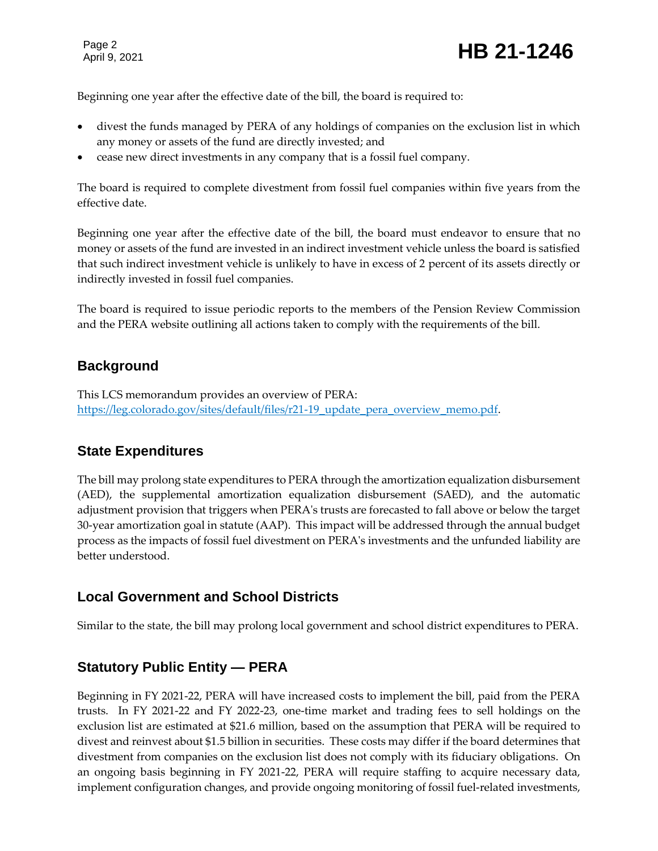Page 2

Page 2<br>April 9, 2021 **HB 21-1246** 

Beginning one year after the effective date of the bill, the board is required to:

- divest the funds managed by PERA of any holdings of companies on the exclusion list in which any money or assets of the fund are directly invested; and
- cease new direct investments in any company that is a fossil fuel company.

The board is required to complete divestment from fossil fuel companies within five years from the effective date.

Beginning one year after the effective date of the bill, the board must endeavor to ensure that no money or assets of the fund are invested in an indirect investment vehicle unless the board is satisfied that such indirect investment vehicle is unlikely to have in excess of 2 percent of its assets directly or indirectly invested in fossil fuel companies.

The board is required to issue periodic reports to the members of the Pension Review Commission and the PERA website outlining all actions taken to comply with the requirements of the bill.

#### **Background**

This LCS memorandum provides an overview of PERA: [https://leg.colorado.gov/sites/default/files/r21-19\\_update\\_pera\\_overview\\_memo.pdf.](https://leg.colorado.gov/sites/default/files/r21-19_update_pera_overview_memo.pdf)

## **State Expenditures**

The bill may prolong state expenditures to PERA through the amortization equalization disbursement (AED), the supplemental amortization equalization disbursement (SAED), and the automatic adjustment provision that triggers when PERA's trusts are forecasted to fall above or below the target 30-year amortization goal in statute (AAP). This impact will be addressed through the annual budget process as the impacts of fossil fuel divestment on PERA's investments and the unfunded liability are better understood.

#### **Local Government and School Districts**

Similar to the state, the bill may prolong local government and school district expenditures to PERA.

## **Statutory Public Entity — PERA**

Beginning in FY 2021-22, PERA will have increased costs to implement the bill, paid from the PERA trusts. In FY 2021-22 and FY 2022-23, one-time market and trading fees to sell holdings on the exclusion list are estimated at \$21.6 million, based on the assumption that PERA will be required to divest and reinvest about \$1.5 billion in securities. These costs may differ if the board determines that divestment from companies on the exclusion list does not comply with its fiduciary obligations. On an ongoing basis beginning in FY 2021-22, PERA will require staffing to acquire necessary data, implement configuration changes, and provide ongoing monitoring of fossil fuel-related investments,